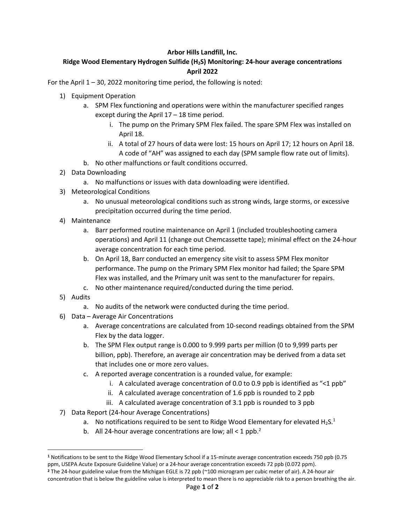#### **Arbor Hills Landfill, Inc.**

### **Ridge Wood Elementary Hydrogen Sulfide (H2S) Monitoring: 24-hour average concentrations April 2022**

For the April 1 – 30, 2022 monitoring time period, the following is noted:

#### 1) Equipment Operation

- a. SPM Flex functioning and operations were within the manufacturer specified ranges except during the April 17 – 18 time period.
	- i. The pump on the Primary SPM Flex failed. The spare SPM Flex was installed on April 18.
	- ii. A total of 27 hours of data were lost: 15 hours on April 17; 12 hours on April 18. A code of "AH" was assigned to each day (SPM sample flow rate out of limits).
- b. No other malfunctions or fault conditions occurred.
- 2) Data Downloading
	- a. No malfunctions or issues with data downloading were identified.
- 3) Meteorological Conditions
	- a. No unusual meteorological conditions such as strong winds, large storms, or excessive precipitation occurred during the time period.
- 4) Maintenance
	- a. Barr performed routine maintenance on April 1 (included troubleshooting camera operations) and April 11 (change out Chemcassette tape); minimal effect on the 24-hour average concentration for each time period.
	- b. On April 18, Barr conducted an emergency site visit to assess SPM Flex monitor performance. The pump on the Primary SPM Flex monitor had failed; the Spare SPM Flex was installed, and the Primary unit was sent to the manufacturer for repairs.
	- c. No other maintenance required/conducted during the time period.
- 5) Audits
	- a. No audits of the network were conducted during the time period.
- 6) Data Average Air Concentrations
	- a. Average concentrations are calculated from 10-second readings obtained from the SPM Flex by the data logger.
	- b. The SPM Flex output range is 0.000 to 9.999 parts per million (0 to 9,999 parts per billion, ppb). Therefore, an average air concentration may be derived from a data set that includes one or more zero values.
	- c. A reported average concentration is a rounded value, for example:
		- i. A calculated average concentration of 0.0 to 0.9 ppb is identified as "<1 ppb"
		- ii. A calculated average concentration of 1.6 ppb is rounded to 2 ppb
		- iii. A calculated average concentration of 3.1 ppb is rounded to 3 ppb
- 7) Data Report (24-hour Average Concentrations)
	- a. No notifications required to be sent to Ridge Wood Elementary for elevated  $H_2S$ <sup>1</sup>
	- b. All 24-hour average concentrations are low; all < 1 ppb.<sup>2</sup>

**<sup>1</sup>** Notifications to be sent to the Ridge Wood Elementary School if a 15-minute average concentration exceeds 750 ppb (0.75 ppm, USEPA Acute Exposure Guideline Value) or a 24-hour average concentration exceeds 72 ppb (0.072 ppm). **<sup>2</sup>** The 24-hour guideline value from the Michigan EGLE is 72 ppb (~100 microgram per cubic meter of air). A 24-hour air

concentration that is below the guideline value is interpreted to mean there is no appreciable risk to a person breathing the air.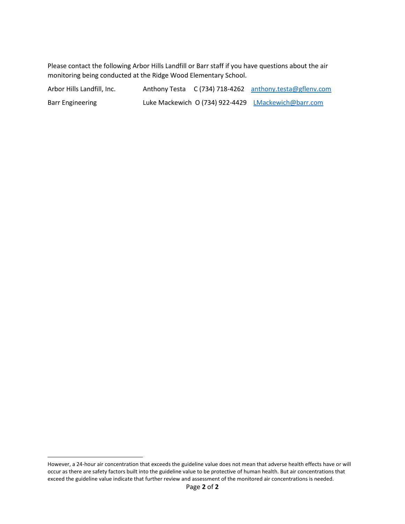Please contact the following Arbor Hills Landfill or Barr staff if you have questions about the air monitoring being conducted at the Ridge Wood Elementary School.

| Arbor Hills Landfill, Inc. |  | Anthony Testa C (734) 718-4262 anthony.testa@gflenv.com |
|----------------------------|--|---------------------------------------------------------|
| Barr Engineering           |  | Luke Mackewich O (734) 922-4429 LMackewich@barr.com     |

However, a 24-hour air concentration that exceeds the guideline value does not mean that adverse health effects have or will occur as there are safety factors built into the guideline value to be protective of human health. But air concentrations that exceed the guideline value indicate that further review and assessment of the monitored air concentrations is needed.